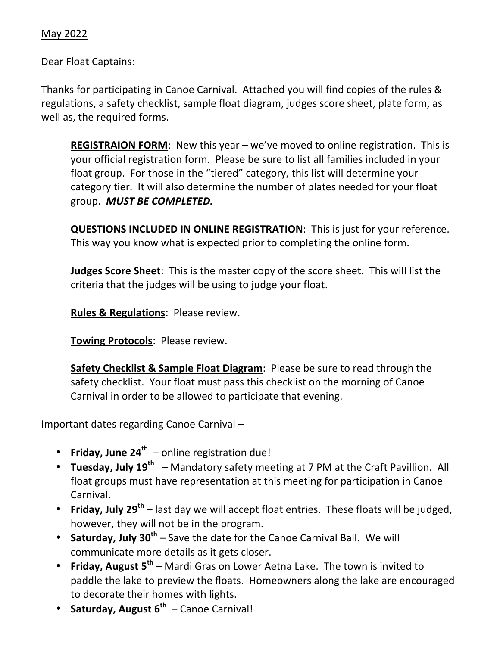Dear Float Captains:

Thanks for participating in Canoe Carnival. Attached you will find copies of the rules & regulations, a safety checklist, sample float diagram, judges score sheet, plate form, as well as, the required forms.

**REGISTRAION FORM:** New this year  $-$  we've moved to online registration. This is your official registration form. Please be sure to list all families included in your float group. For those in the "tiered" category, this list will determine your category tier. It will also determine the number of plates needed for your float group. **MUST BE COMPLETED.** 

**QUESTIONS INCLUDED IN ONLINE REGISTRATION:** This is just for your reference. This way you know what is expected prior to completing the online form.

**Judges Score Sheet:** This is the master copy of the score sheet. This will list the criteria that the judges will be using to judge your float.

**Rules & Regulations: Please review.** 

**Towing Protocols: Please review.** 

**Safety Checklist & Sample Float Diagram:** Please be sure to read through the safety checklist. Your float must pass this checklist on the morning of Canoe Carnival in order to be allowed to participate that evening.

Important dates regarding Canoe Carnival -

- **Friday, June 24<sup>th</sup>** online registration due!
- **Tuesday, July 19<sup>th</sup>** Mandatory safety meeting at 7 PM at the Craft Pavillion. All float groups must have representation at this meeting for participation in Canoe Carnival.
- **Friday, July 29<sup>th</sup>** last day we will accept float entries. These floats will be judged, however, they will not be in the program.
- **Saturday, July 30<sup>th</sup>** Save the date for the Canoe Carnival Ball. We will communicate more details as it gets closer.
- **Friday, August 5<sup>th</sup>** Mardi Gras on Lower Aetna Lake. The town is invited to paddle the lake to preview the floats. Homeowners along the lake are encouraged to decorate their homes with lights.
- Saturday, August 6<sup>th</sup> Canoe Carnival!